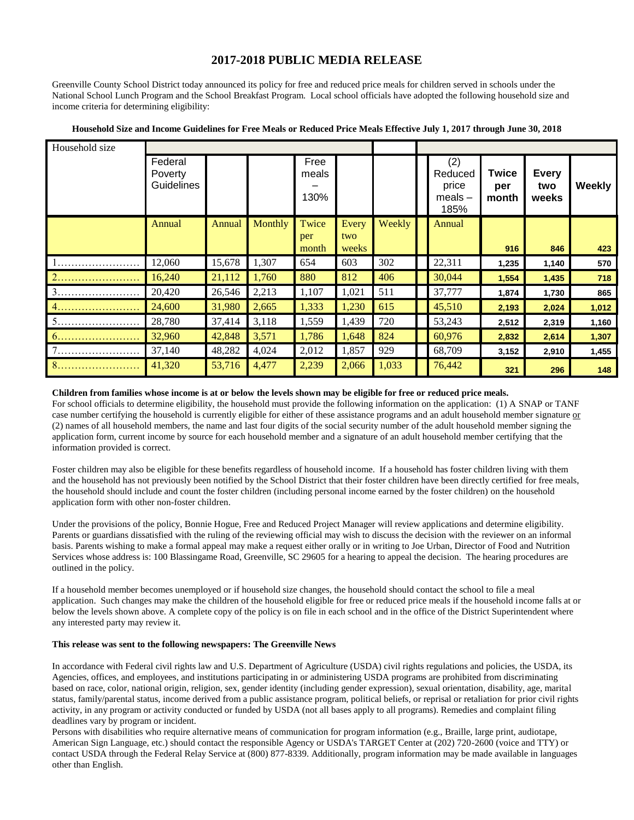## **2017-2018 PUBLIC MEDIA RELEASE**

Greenville County School District today announced its policy for free and reduced price meals for children served in schools under the National School Lunch Program and the School Breakfast Program. Local school officials have adopted the following household size and income criteria for determining eligibility:

| Household size |                                  |        |         |                       |              |        |                                              |                       |                              |               |
|----------------|----------------------------------|--------|---------|-----------------------|--------------|--------|----------------------------------------------|-----------------------|------------------------------|---------------|
|                | Federal<br>Poverty<br>Guidelines |        |         | Free<br>meals<br>130% |              |        | (2)<br>Reduced<br>price<br>$meals -$<br>185% | Twice<br>per<br>month | <b>Every</b><br>two<br>weeks | <b>Weekly</b> |
|                | Annual                           | Annual | Monthly | Twice                 | Every        | Weekly | Annual                                       |                       |                              |               |
|                |                                  |        |         | per<br>month          | two<br>weeks |        |                                              | 916                   | 846                          | 423           |
|                | 12,060                           | 15,678 | 1,307   | 654                   | 603          | 302    | 22,311                                       | 1,235                 | 1,140                        | 570           |
| 2              | 16,240                           | 21,112 | 1,760   | 880                   | 812          | 406    | 30,044                                       | 1,554                 | 1,435                        | 718           |
| 3.             | 20,420                           | 26,546 | 2,213   | 1,107                 | 1,021        | 511    | 37,777                                       | 1,874                 | 1,730                        | 865           |
|                | 24,600                           | 31,980 | 2,665   | 1,333                 | 1,230        | 615    | 45,510                                       | 2,193                 | 2,024                        | 1,012         |
| 5              | 28,780                           | 37,414 | 3,118   | 1,559                 | 1,439        | 720    | 53,243                                       | 2,512                 | 2,319                        | 1,160         |
| 6.             | 32,960                           | 42,848 | 3,571   | 1,786                 | 1,648        | 824    | 60,976                                       | 2,832                 | 2,614                        | 1,307         |
|                | 37,140                           | 48,282 | 4,024   | 2,012                 | 1,857        | 929    | 68,709                                       | 3,152                 | 2,910                        | 1,455         |
| 8.             | 41,320                           | 53,716 | 4,477   | 2,239                 | 2,066        | 1,033  | 76,442                                       | 321                   | 296                          | 148           |

## **Household Size and Income Guidelines for Free Meals or Reduced Price Meals Effective July 1, 2017 through June 30, 2018**

## **Children from families whose income is at or below the levels shown may be eligible for free or reduced price meals.**

For school officials to determine eligibility, the household must provide the following information on the application: (1) A SNAP or TANF case number certifying the household is currently eligible for either of these assistance programs and an adult household member signature or (2) names of all household members, the name and last four digits of the social security number of the adult household member signing the application form, current income by source for each household member and a signature of an adult household member certifying that the information provided is correct.

Foster children may also be eligible for these benefits regardless of household income. If a household has foster children living with them and the household has not previously been notified by the School District that their foster children have been directly certified for free meals, the household should include and count the foster children (including personal income earned by the foster children) on the household application form with other non-foster children.

Under the provisions of the policy, Bonnie Hogue, Free and Reduced Project Manager will review applications and determine eligibility. Parents or guardians dissatisfied with the ruling of the reviewing official may wish to discuss the decision with the reviewer on an informal basis. Parents wishing to make a formal appeal may make a request either orally or in writing to Joe Urban, Director of Food and Nutrition Services whose address is: 100 Blassingame Road, Greenville, SC 29605 for a hearing to appeal the decision. The hearing procedures are outlined in the policy.

If a household member becomes unemployed or if household size changes, the household should contact the school to file a meal application. Such changes may make the children of the household eligible for free or reduced price meals if the household income falls at or below the levels shown above. A complete copy of the policy is on file in each school and in the office of the District Superintendent where any interested party may review it.

## **This release was sent to the following newspapers: The Greenville News**

In accordance with Federal civil rights law and U.S. Department of Agriculture (USDA) civil rights regulations and policies, the USDA, its Agencies, offices, and employees, and institutions participating in or administering USDA programs are prohibited from discriminating based on race, color, national origin, religion, sex, gender identity (including gender expression), sexual orientation, disability, age, marital status, family/parental status, income derived from a public assistance program, political beliefs, or reprisal or retaliation for prior civil rights activity, in any program or activity conducted or funded by USDA (not all bases apply to all programs). Remedies and complaint filing deadlines vary by program or incident.

Persons with disabilities who require alternative means of communication for program information (e.g., Braille, large print, audiotape, American Sign Language, etc.) should contact the responsible Agency or USDA's TARGET Center at (202) 720-2600 (voice and TTY) or contact USDA through the Federal Relay Service at (800) 877-8339. Additionally, program information may be made available in languages other than English.